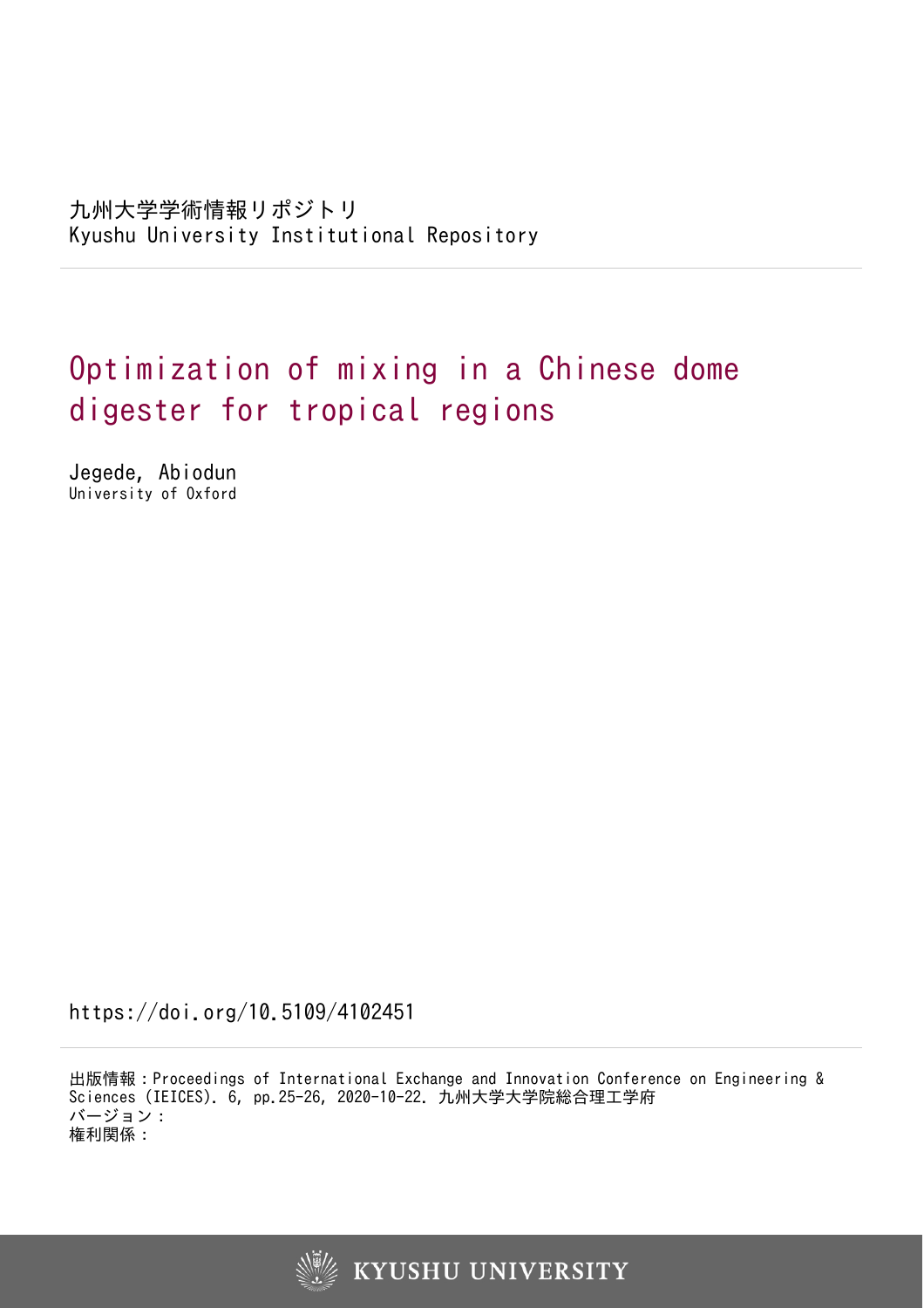九州大学学術情報リポジトリ Kyushu University Institutional Repository

# Optimization of mixing in a Chinese dome digester for tropical regions

Jegede, Abiodun University of Oxford

https://doi.org/10.5109/4102451

出版情報:Proceedings of International Exchange and Innovation Conference on Engineering & Sciences (IEICES). 6, pp.25-26, 2020-10-22. 九州大学大学院総合理工学府 バージョン: 権利関係:

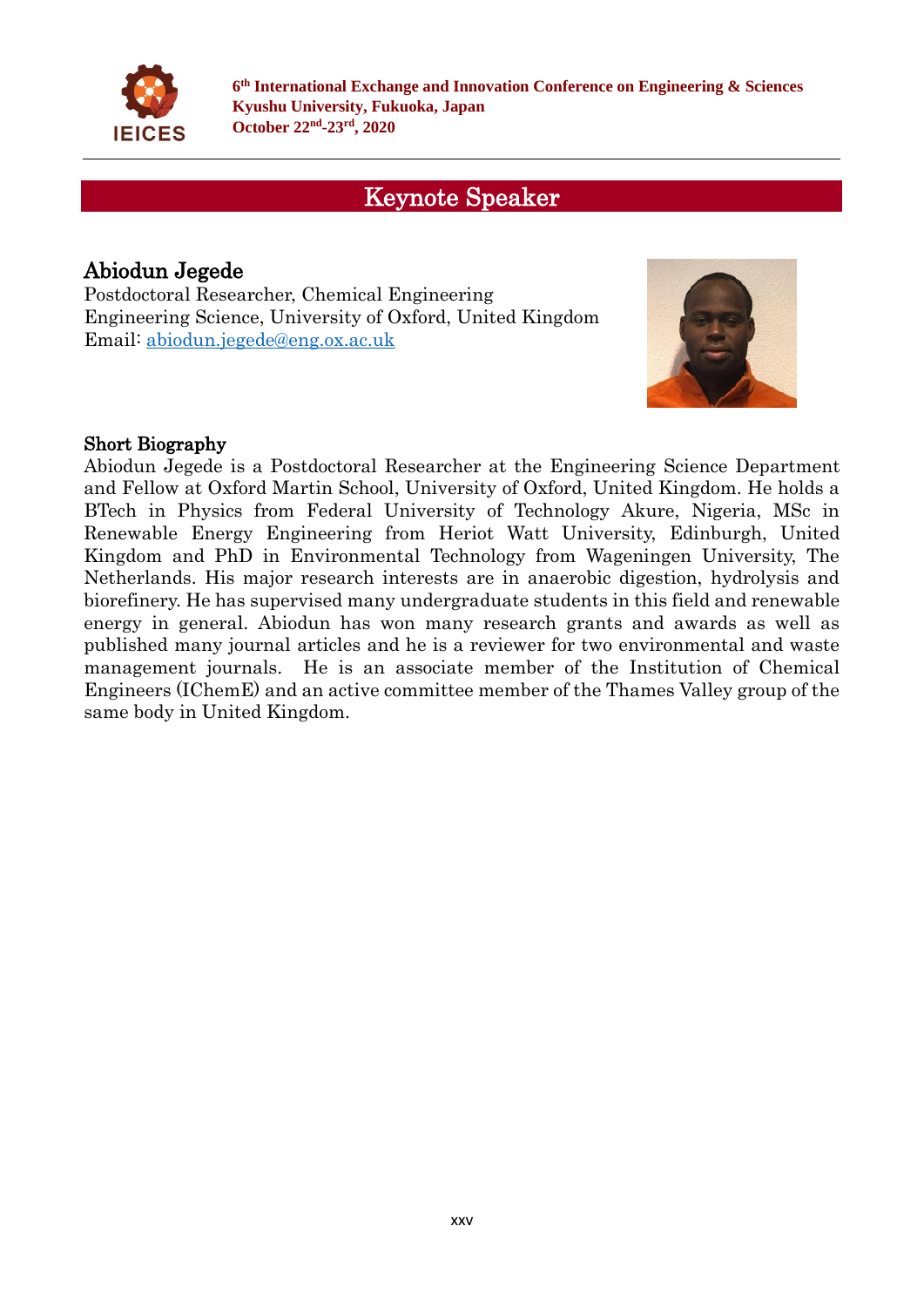

**6 th International Exchange and Innovation Conference on Engineering & Sciences Kyushu University, Fukuoka, Japan October 22nd -23rd , 2020**

## Keynote Speaker

### Abiodun Jegede

Postdoctoral Researcher, Chemical Engineering Engineering Science, University of Oxford, United Kingdom Email: [abiodun.jegede@eng.ox.ac.uk](mailto:abiodun.jegede@eng.ox.ac.uk)



#### Short Biography

Abiodun Jegede is a Postdoctoral Researcher at the Engineering Science Department and Fellow at Oxford Martin School, University of Oxford, United Kingdom. He holds a BTech in Physics from Federal University of Technology Akure, Nigeria, MSc in Renewable Energy Engineering from Heriot Watt University, Edinburgh, United Kingdom and PhD in Environmental Technology from Wageningen University, The Netherlands. His major research interests are in anaerobic digestion, hydrolysis and biorefinery. He has supervised many undergraduate students in this field and renewable energy in general. Abiodun has won many research grants and awards as well as published many journal articles and he is a reviewer for two environmental and waste management journals. He is an associate member of the Institution of Chemical Engineers (IChemE) and an active committee member of the Thames Valley group of the same body in United Kingdom.